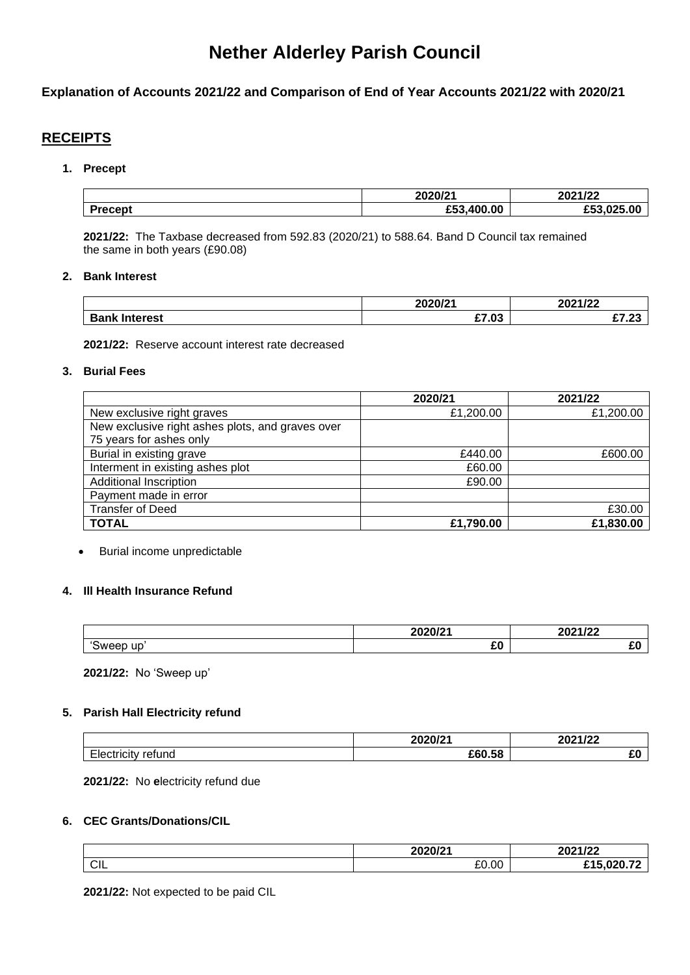# **Nether Alderley Parish Council**

# **Explanation of Accounts 2021/22 and Comparison of End of Year Accounts 2021/22 with 2020/21**

# **RECEIPTS**

### **1. Precept**

|                | 2020/24       | $2024122$<br>ZUZ 1722 |
|----------------|---------------|-----------------------|
| <b>Procont</b> | 100.00<br>£50 | $\sim$                |

**2021/22:** The Taxbase decreased from 592.83 (2020/21) to 588.64. Band D Council tax remained the same in both years (£90.08)

### **2. Bank Interest**

|                 | 2020/24 | 0.001100<br>ZUZ IIZZ |
|-----------------|---------|----------------------|
| Dank,<br>ષerest | £7.03   | $\sim$<br>.          |

**2021/22:** Reserve account interest rate decreased

### **3. Burial Fees**

|                                                  | 2020/21   | 2021/22   |
|--------------------------------------------------|-----------|-----------|
| New exclusive right graves                       | £1,200.00 | £1,200.00 |
| New exclusive right ashes plots, and graves over |           |           |
| 75 years for ashes only                          |           |           |
| Burial in existing grave                         | £440.00   | £600.00   |
| Interment in existing ashes plot                 | £60.00    |           |
| <b>Additional Inscription</b>                    | £90.00    |           |
| Payment made in error                            |           |           |
| <b>Transfer of Deed</b>                          |           | £30.00    |
| <b>TOTAL</b>                                     | £1,790.00 | £1,830.00 |

• Burial income unpredictable

### **4. Ill Health Insurance Refund**

|                            | $\frac{1}{2}$ | 0.001100<br>LVL<br>11 L L |
|----------------------------|---------------|---------------------------|
| $\sim$<br>.<br>ur<br>oweep | CO.<br>エム     | -                         |

**2021/22:** No 'Sweep up'

### **5. Parish Hall Electricity refund**

|                                                 | 2020124 | 0.001100<br>∠∪∠<br>11 L L |
|-------------------------------------------------|---------|---------------------------|
| $- \cdot$<br>retund<br>suulullv 11<br><u>ے،</u> | £60.58  | $\sim$<br>∼               |

**2021/22:** No **e**lectricity refund due

# **6. CEC Grants/Donations/CIL**

|            | ימוחמחמ<br>SVI 4<br>LUL | 0.001100<br>ZUZ IIZZ |
|------------|-------------------------|----------------------|
| <b>CIL</b> | 0000<br>ŁU.UU           | 0.2072<br>.<br>-     |

**2021/22:** Not expected to be paid CIL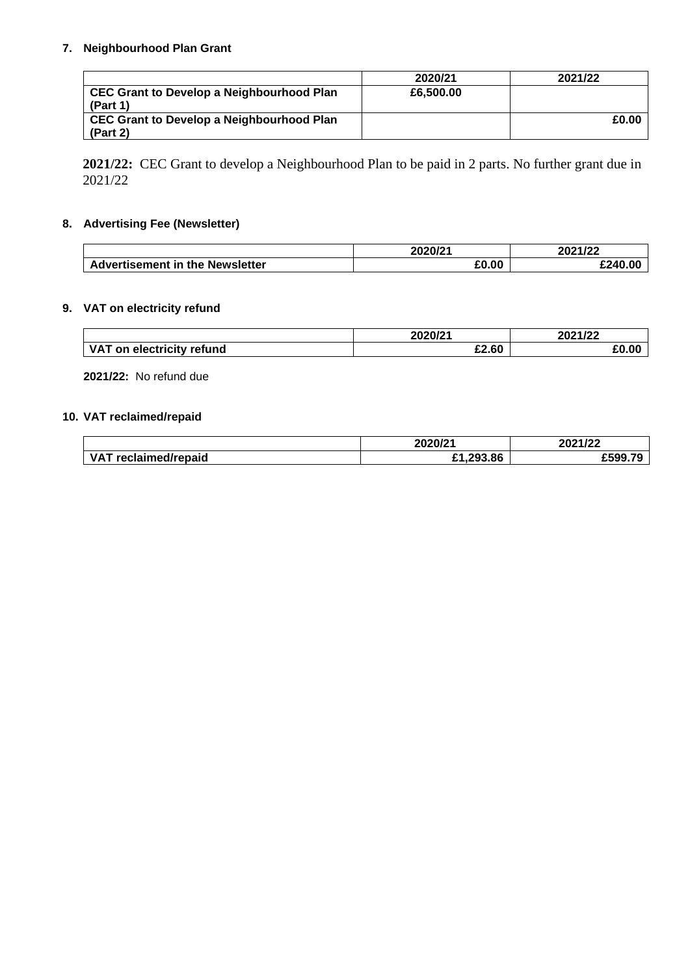# **7. Neighbourhood Plan Grant**

|                                           | 2020/21   | 2021/22 |
|-------------------------------------------|-----------|---------|
| CEC Grant to Develop a Neighbourhood Plan | £6,500,00 |         |
| (Part 1)                                  |           |         |
| CEC Grant to Develop a Neighbourhood Plan |           | £0.00   |
| (Part 2)                                  |           |         |

**2021/22:** CEC Grant to develop a Neighbourhood Plan to be paid in 2 parts. No further grant due in 2021/22

# **8. Advertising Fee (Newsletter)**

|                                 | 2020/21 | 2021/22 |
|---------------------------------|---------|---------|
| Advertisement in the Newsletter | £0.00   | £240.00 |

# **9. VAT on electricity refund**

|                                       | 2020/21 | 2021122<br>17ZZ<br>207 |
|---------------------------------------|---------|------------------------|
| <b>VAT</b><br>on electricity refund ` | £2.60   | .J.O <sup>r</sup>      |

**2021/22:** No refund due

# **10. VAT reclaimed/repaid**

|                         | 2020/21       | 2021/22 |
|-------------------------|---------------|---------|
| VA.<br>reclaimed/repaid | .293.86<br>r4 | craa    |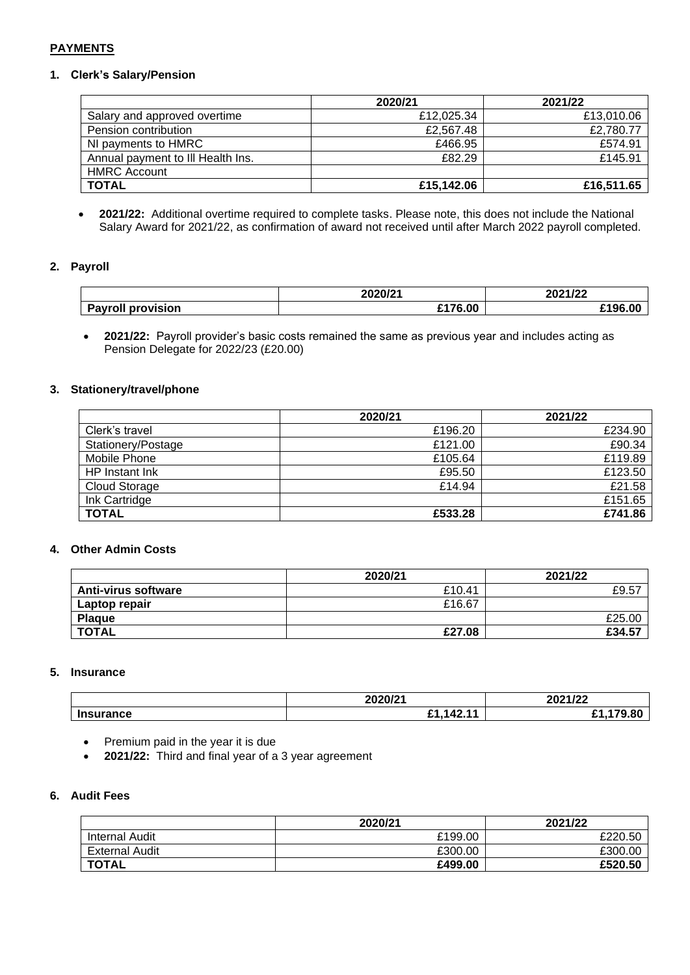# **PAYMENTS**

### **1. Clerk's Salary/Pension**

|                                   | 2020/21    | 2021/22    |
|-----------------------------------|------------|------------|
| Salary and approved overtime      | £12,025.34 | £13,010.06 |
| Pension contribution              | £2,567.48  | £2,780.77  |
| NI payments to HMRC               | £466.95    | £574.91    |
| Annual payment to III Health Ins. | £82.29     | £145.91    |
| <b>HMRC Account</b>               |            |            |
| <b>TOTAL</b>                      | £15,142.06 | £16,511.65 |

• **2021/22:** Additional overtime required to complete tasks. Please note, this does not include the National Salary Award for 2021/22, as confirmation of award not received until after March 2022 payroll completed.

### **2. Payroll**

|                                 | 2020/21 | nnn <i>a I</i> nn<br>1122<br>SVA 1 |
|---------------------------------|---------|------------------------------------|
| <br><b>Payroll</b><br>provision | £176.00 | £196.00                            |

• **2021/22:** Payroll provider's basic costs remained the same as previous year and includes acting as Pension Delegate for 2022/23 (£20.00)

### **3. Stationery/travel/phone**

|                    | 2020/21 | 2021/22 |
|--------------------|---------|---------|
| Clerk's travel     | £196.20 | £234.90 |
| Stationery/Postage | £121.00 | £90.34  |
| Mobile Phone       | £105.64 | £119.89 |
| HP Instant Ink     | £95.50  | £123.50 |
| Cloud Storage      | £14.94  | £21.58  |
| Ink Cartridge      |         | £151.65 |
| <b>TOTAL</b>       | £533.28 | £741.86 |

### **4. Other Admin Costs**

|                            | 2020/21 | 2021/22 |
|----------------------------|---------|---------|
| <b>Anti-virus software</b> | £10.41  | £9.57   |
| Laptop repair              | £16.67  |         |
| <b>Plaque</b>              |         | £25.00  |
| <b>TOTAL</b>               | £27.08  | £34.57  |

#### **5. Insurance**

|               | 0.000104<br>_____          | 2021/22           |
|---------------|----------------------------|-------------------|
| <b>urance</b> | . .<br>C4<br>IЛ.<br>т<br>- | $\sim$<br>лı<br>- |

- Premium paid in the year it is due
- **2021/22:** Third and final year of a 3 year agreement

## **6. Audit Fees**

|                       | 2020/21 | 2021/22 |
|-----------------------|---------|---------|
| <b>Internal Audit</b> | £199.00 | £220.50 |
| <b>External Audit</b> | £300.00 | £300.00 |
| <b>TOTAL</b>          | £499.00 | £520.50 |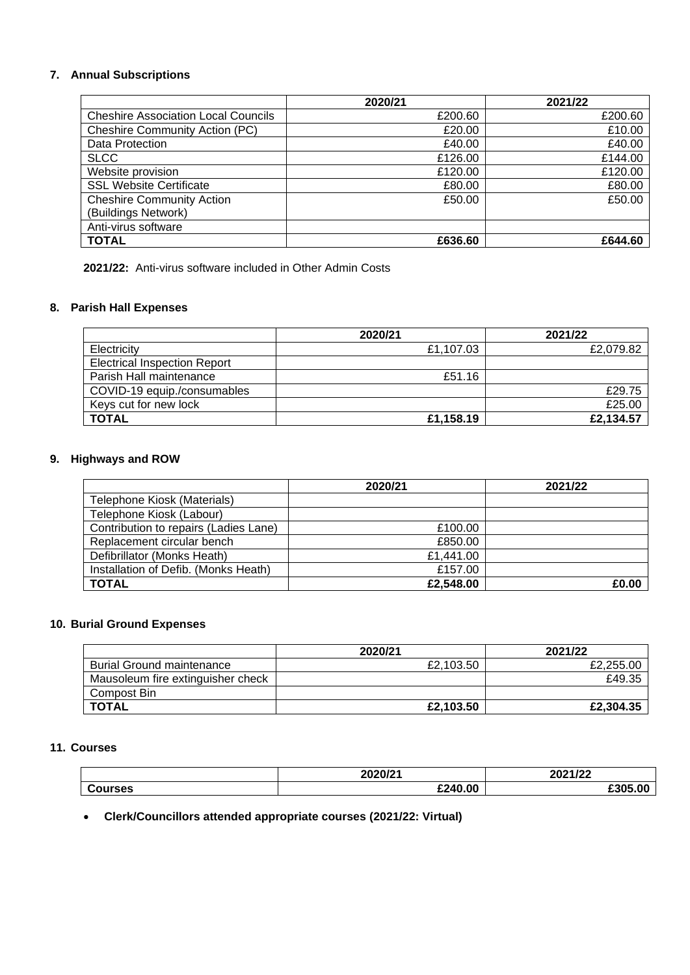# **7. Annual Subscriptions**

|                                            | 2020/21 | 2021/22 |
|--------------------------------------------|---------|---------|
| <b>Cheshire Association Local Councils</b> | £200.60 | £200.60 |
| <b>Cheshire Community Action (PC)</b>      | £20.00  | £10.00  |
| Data Protection                            | £40.00  | £40.00  |
| <b>SLCC</b>                                | £126.00 | £144.00 |
| Website provision                          | £120.00 | £120.00 |
| <b>SSL Website Certificate</b>             | £80.00  | £80.00  |
| <b>Cheshire Community Action</b>           | £50.00  | £50.00  |
| (Buildings Network)                        |         |         |
| Anti-virus software                        |         |         |
| <b>TOTAL</b>                               | £636.60 | £644.60 |

**2021/22:** Anti-virus software included in Other Admin Costs

# **8. Parish Hall Expenses**

|                                     | 2020/21   | 2021/22   |
|-------------------------------------|-----------|-----------|
| Electricity                         | £1,107.03 | £2,079.82 |
| <b>Electrical Inspection Report</b> |           |           |
| Parish Hall maintenance             | £51.16    |           |
| COVID-19 equip./consumables         |           | £29.75    |
| Keys cut for new lock               |           | £25.00    |
| <b>TOTAL</b>                        | £1,158.19 | £2,134.57 |

# **9. Highways and ROW**

|                                       | 2020/21   | 2021/22 |
|---------------------------------------|-----------|---------|
| Telephone Kiosk (Materials)           |           |         |
| Telephone Kiosk (Labour)              |           |         |
| Contribution to repairs (Ladies Lane) | £100.00   |         |
| Replacement circular bench            | £850.00   |         |
| Defibrillator (Monks Heath)           | £1,441.00 |         |
| Installation of Defib. (Monks Heath)  | £157.00   |         |
| <b>TOTAL</b>                          | £2,548.00 | £0.00   |

# **10. Burial Ground Expenses**

|                                   | 2020/21   | 2021/22   |
|-----------------------------------|-----------|-----------|
| <b>Burial Ground maintenance</b>  | £2.103.50 | £2,255.00 |
| Mausoleum fire extinguisher check |           | £49.35    |
| Compost Bin                       |           |           |
| TOTAL                             | £2.103.50 | £2,304.35 |

### **11. Courses**

|                | 2020/21 | 2021/22 |
|----------------|---------|---------|
| <b>Courses</b> | £240.00 | £305.00 |

• **Clerk/Councillors attended appropriate courses (2021/22: Virtual)**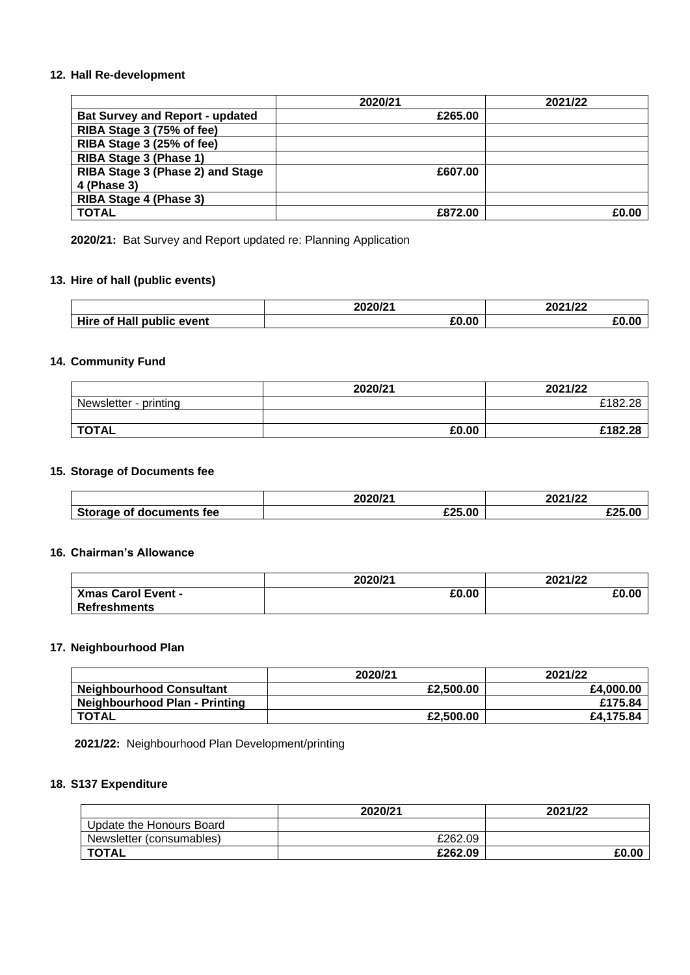### **12. Hall Re-development**

|                                        | 2020/21 | 2021/22 |
|----------------------------------------|---------|---------|
| <b>Bat Survey and Report - updated</b> | £265.00 |         |
| RIBA Stage 3 (75% of fee)              |         |         |
| RIBA Stage 3 (25% of fee)              |         |         |
| RIBA Stage 3 (Phase 1)                 |         |         |
| RIBA Stage 3 (Phase 2) and Stage       | £607.00 |         |
| 4 (Phase 3)                            |         |         |
| RIBA Stage 4 (Phase 3)                 |         |         |
| <b>TOTAL</b>                           | £872.00 | £0.00   |

**2020/21:** Bat Survey and Report updated re: Planning Application

# **13. Hire of hall (public events)**

|                                        | 2020/21 | 2021/22      |
|----------------------------------------|---------|--------------|
| Hire<br>റf Hall<br><b>public event</b> | £0.00   | $\mathbf{A}$ |

# **14. Community Fund**

|                       | 2020/21 | 2021/22       |
|-----------------------|---------|---------------|
| Newsletter - printing |         | £182.28<br>ററ |
|                       |         |               |
| <b>TOTAL</b>          | £0.00   | £182.28       |

### **15. Storage of Documents fee**

|                                       | <b>2020121</b><br>w. | つのつろ ノつつ |
|---------------------------------------|----------------------|----------|
| Storage of<br>tee<br><b>documents</b> | £25.00               | 0.050    |

### **16. Chairman's Allowance**

|                           | 2020/21 | 2021/22 |
|---------------------------|---------|---------|
| <b>Xmas Carol Event -</b> | £0.00   | £0.00   |
| Refreshments              |         |         |

### **17. Neighbourhood Plan**

|                                 | 2020/21   | 2021/22   |
|---------------------------------|-----------|-----------|
| <b>Neighbourhood Consultant</b> | £2,500.00 | £4.000.00 |
| Neighbourhood Plan - Printing   |           | £175.84   |
| <b>TOTAL</b>                    | £2,500.00 | £4.175.84 |

**2021/22:** Neighbourhood Plan Development/printing

### **18. S137 Expenditure**

|                          | 2020/21 | 2021/22 |
|--------------------------|---------|---------|
| Update the Honours Board |         |         |
| Newsletter (consumables) | £262.09 |         |
| <b>TOTAL</b>             | £262.09 | £0.00   |